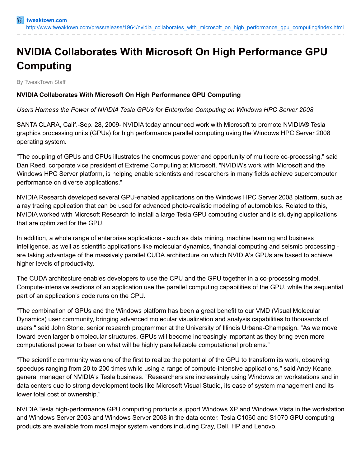## **NVIDIA Collaborates With Microsoft On High Performance GPU Computing**

By TweakTown Staff

## **NVIDIA Collaborates With Microsoft On High Performance GPU Computing**

## *Users Harness the Power of NVIDIA Tesla GPUs for Enterprise Computing on Windows HPC Server 2008*

SANTA CLARA, Calif.-Sep. 28, 2009- NVIDIA today announced work with Microsoft to promote NVIDIA® Tesla graphics processing units (GPUs) for high performance parallel computing using the Windows HPC Server 2008 operating system.

"The coupling of GPUs and CPUs illustrates the enormous power and opportunity of multicore co-processing," said Dan Reed, corporate vice president of Extreme Computing at Microsoft. "NVIDIA's work with Microsoft and the Windows HPC Server platform, is helping enable scientists and researchers in many fields achieve supercomputer performance on diverse applications."

NVIDIA Research developed several GPU-enabled applications on the Windows HPC Server 2008 platform, such as a ray tracing application that can be used for advanced photo-realistic modeling of automobiles. Related to this, NVIDIA worked with Microsoft Research to install a large Tesla GPU computing cluster and is studying applications that are optimized for the GPU.

In addition, a whole range of enterprise applications - such as data mining, machine learning and business intelligence, as well as scientific applications like molecular dynamics, financial computing and seismic processing are taking advantage of the massively parallel CUDA architecture on which NVIDIA's GPUs are based to achieve higher levels of productivity.

The CUDA architecture enables developers to use the CPU and the GPU together in a co-processing model. Compute-intensive sections of an application use the parallel computing capabilities of the GPU, while the sequential part of an application's code runs on the CPU.

"The combination of GPUs and the Windows platform has been a great benefit to our VMD (Visual Molecular Dynamics) user community, bringing advanced molecular visualization and analysis capabilities to thousands of users," said John Stone, senior research programmer at the University of Illinois Urbana-Champaign. "As we move toward even larger biomolecular structures, GPUs will become increasingly important as they bring even more computational power to bear on what will be highly parallelizable computational problems."

"The scientific community was one of the first to realize the potential of the GPU to transform its work, observing speedups ranging from 20 to 200 times while using a range of compute-intensive applications," said Andy Keane, general manager of NVIDIA's Tesla business. "Researchers are increasingly using Windows on workstations and in data centers due to strong development tools like Microsoft Visual Studio, its ease of system management and its lower total cost of ownership."

NVIDIA Tesla high-performance GPU computing products support Windows XP and Windows Vista in the workstation and Windows Server 2003 and Windows Server 2008 in the data center. Tesla C1060 and S1070 GPU computing products are available from most major system vendors including Cray, Dell, HP and Lenovo.